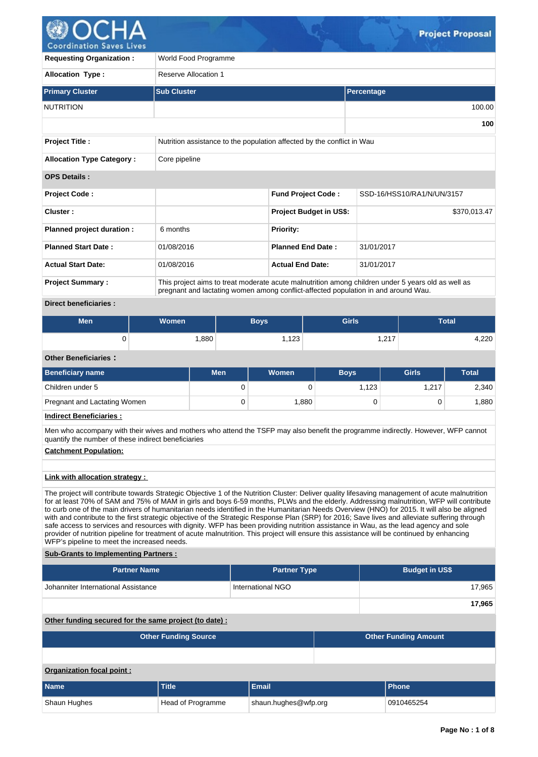

**Project Title :** Nutrition assistance to the population affected by the conflict in Wau **Allocation Type Category : Core pipeline OPS Details : Project Code : Fund Project Code :** SSD-16/HSS10/RA1/N/UN/3157 **Cluster :** \$370,013.47 **Project Budget in US\$:** \$370,013.47 **Planned project duration :** 6 months **Planned Priority: Planned Start Date :** 01/08/2016 **Planned End Date :** 31/01/2017 **Actual Start Date:** 01/08/2016 **Actual End Date:** 31/01/2017 **Project Summary :** This project aims to treat moderate acute malnutrition among children under 5 years old as well as pregnant and lactating women among conflict-affected population in and around Wau. **Direct beneficiaries : Men Women Boys Girls Total**  $0 \quad 1,880 \quad 1,123 \quad 1,217 \quad 4,220$ **Other Beneficiaries : Beneficiary name Men Women Boys Girls Total** Children under 5 0 0 1,123 1,217 2,340 Pregnant and Lactating Women **0** 0 1,880 0 0 1,880 0 1,880 **Indirect Beneficiaries :** Men who accompany with their wives and mothers who attend the TSFP may also benefit the programme indirectly. However, WFP cannot quantify the number of these indirect beneficiaries **Catchment Population: Link with allocation strategy :**  The project will contribute towards Strategic Objective 1 of the Nutrition Cluster: Deliver quality lifesaving management of acute malnutrition for at least 70% of SAM and 75% of MAM in girls and boys 6-59 months, PLWs and the elderly. Addressing malnutrition, WFP will contribute to curb one of the main drivers of humanitarian needs identified in the Humanitarian Needs Overview (HNO) for 2015. It will also be aligned with and contribute to the first strategic objective of the Strategic Response Plan (SRP) for 2016; Save lives and alleviate suffering through safe access to services and resources with dignity. WFP has been providing nutrition assistance in Wau, as the lead agency and sole provider of nutrition pipeline for treatment of acute malnutrition. This project will ensure this assistance will be continued by enhancing WFP's pipeline to meet the increased needs. **Sub-Grants to Implementing Partners : Partner Name Partner Type Budget in US\$** Johanniter International Assistance **International International NGO** 17,965 **17,965 Other funding secured for the same project (to date) : Other Funding Source Construction Construction Construction Construction Construction Construction Construction Construction Construction Construction Construction Construction Construction Construction Construction Co Organization focal point : Name Title Email Phone Primary Cluster Sub Cluster Percentage** NUTRITION 100.00 **100 Requesting Organization :** World Food Programme **Allocation Type :** Reserve Allocation 1

Shaun Hughes **Head of Programme** shaun.hughes@wfp.org 0910465254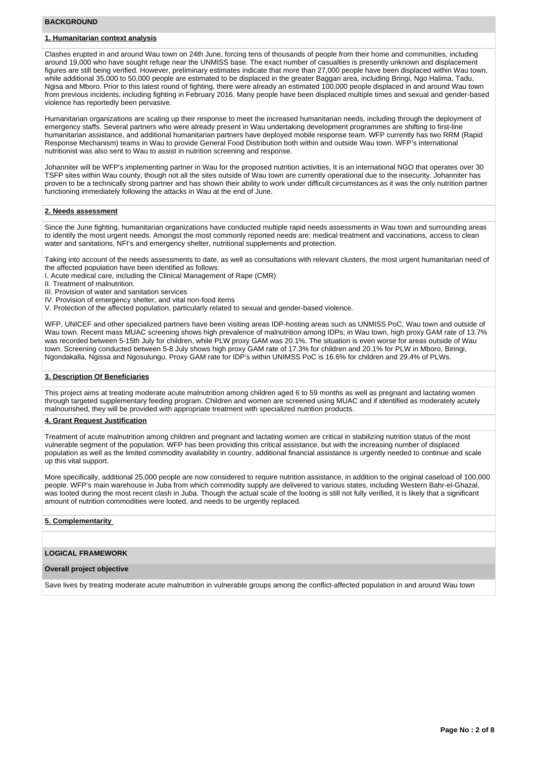# **BACKGROUND**

# **1. Humanitarian context analysis**

Clashes erupted in and around Wau town on 24th June, forcing tens of thousands of people from their home and communities, including around 19,000 who have sought refuge near the UNMISS base. The exact number of casualties is presently unknown and displacement figures are still being verified. However, preliminary estimates indicate that more than 27,000 people have been displaced within Wau town, while additional 35,000 to 50,000 people are estimated to be displaced in the greater Baggari area, including Bringi, Ngo Halima, Tadu, Ngisa and Mboro. Prior to this latest round of fighting, there were already an estimated 100,000 people displaced in and around Wau town from previous incidents, including fighting in February 2016. Many people have been displaced multiple times and sexual and gender-based violence has reportedly been pervasive.

Humanitarian organizations are scaling up their response to meet the increased humanitarian needs, including through the deployment of emergency staffs. Several partners who were already present in Wau undertaking development programmes are shifting to first-line humanitarian assistance, and additional humanitarian partners have deployed mobile response team. WFP currently has two RRM (Rapid Response Mechanism) teams in Wau to provide General Food Distribution both within and outside Wau town. WFP's international nutritionist was also sent to Wau to assist in nutrition screening and response.

Johanniter will be WFP's implementing partner in Wau for the proposed nutrition activities, It is an international NGO that operates over 30 TSFP sites within Wau county, though not all the sites outside of Wau town are currently operational due to the insecurity. Johanniter has proven to be a technically strong partner and has shown their ability to work under difficult circumstances as it was the only nutrition partner functioning immediately following the attacks in Wau at the end of June.

## **2. Needs assessment**

Since the June fighting, humanitarian organizations have conducted multiple rapid needs assessments in Wau town and surrounding areas to identify the most urgent needs. Amongst the most commonly reported needs are: medical treatment and vaccinations, access to clean water and sanitations, NFI's and emergency shelter, nutritional supplements and protection.

Taking into account of the needs assessments to date, as well as consultations with relevant clusters, the most urgent humanitarian need of the affected population have been identified as follows:

- I. Acute medical care, including the Clinical Management of Rape (CMR)
- II. Treatment of malnutrition.
- III. Provision of water and sanitation services
- IV. Provision of emergency shelter, and vital non-food items
- V. Protection of the affected population, particularly related to sexual and gender-based violence.

WFP, UNICEF and other specialized partners have been visiting areas IDP-hosting areas such as UNMISS PoC, Wau town and outside of Wau town. Recent mass MUAC screening shows high prevalence of malnutrition among IDPs; in Wau town, high proxy GAM rate of 13.7% was recorded between 5-15th July for children, while PLW proxy GAM was 20.1%. The situation is even worse for areas outside of Wau town. Screening conducted between 5-8 July shows high proxy GAM rate of 17.3% for children and 20.1% for PLW in Mboro, Biringi, Ngondakalla, Ngissa and Ngosulungu. Proxy GAM rate for IDP's within UNIMSS PoC is 16.6% for children and 29.4% of PLWs.

# **3. Description Of Beneficiaries**

This project aims at treating moderate acute malnutrition among children aged 6 to 59 months as well as pregnant and lactating women through targeted supplementary feeding program. Children and women are screened using MUAC and if identified as moderately acutely malnourished, they will be provided with appropriate treatment with specialized nutrition products.

## **4. Grant Request Justification**

Treatment of acute malnutrition among children and pregnant and lactating women are critical in stabilizing nutrition status of the most vulnerable segment of the population. WFP has been providing this critical assistance, but with the increasing number of displaced population as well as the limited commodity availability in country, additional financial assistance is urgently needed to continue and scale up this vital support.

More specifically, additional 25,000 people are now considered to require nutrition assistance, in addition to the original caseload of 100,000 people. WFP's main warehouse in Juba from which commodity supply are delivered to various states, including Western Bahr-el-Ghazal, was looted during the most recent clash in Juba. Though the actual scale of the looting is still not fully verified, it is likely that a significant amount of nutrition commodities were looted, and needs to be urgently replaced.

# **5. Complementarity**

# **LOGICAL FRAMEWORK**

#### **Overall project objective**

Save lives by treating moderate acute malnutrition in vulnerable groups among the conflict-affected population in and around Wau town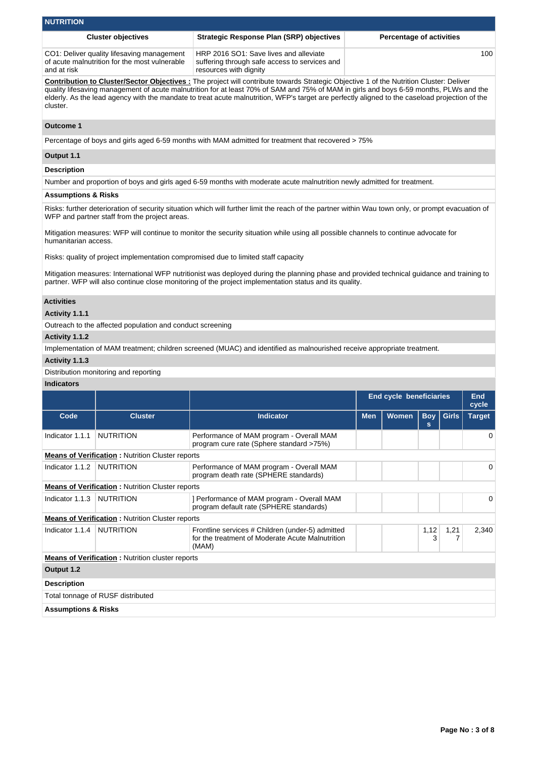| <b>NUTRITION</b>                                                                                           |                                                                                                                   |                                 |  |  |  |  |  |  |
|------------------------------------------------------------------------------------------------------------|-------------------------------------------------------------------------------------------------------------------|---------------------------------|--|--|--|--|--|--|
| <b>Cluster objectives</b>                                                                                  | <b>Strategic Response Plan (SRP) objectives</b>                                                                   | <b>Percentage of activities</b> |  |  |  |  |  |  |
| CO1: Deliver quality lifesaving management<br>of acute malnutrition for the most vulnerable<br>and at risk | HRP 2016 SO1: Save lives and alleviate<br>suffering through safe access to services and<br>resources with dignity | 100                             |  |  |  |  |  |  |

**Contribution to Cluster/Sector Objectives :** The project will contribute towards Strategic Objective 1 of the Nutrition Cluster: Deliver quality lifesaving management of acute malnutrition for at least 70% of SAM and 75% of MAM in girls and boys 6-59 months, PLWs and the elderly. As the lead agency with the mandate to treat acute malnutrition, WFP's target are perfectly aligned to the caseload projection of the cluster.

# **Outcome 1**

Percentage of boys and girls aged 6-59 months with MAM admitted for treatment that recovered > 75%

# **Output 1.1**

**Description**

Number and proportion of boys and girls aged 6-59 months with moderate acute malnutrition newly admitted for treatment.

# **Assumptions & Risks**

Risks: further deterioration of security situation which will further limit the reach of the partner within Wau town only, or prompt evacuation of WFP and partner staff from the project areas.

Mitigation measures: WFP will continue to monitor the security situation while using all possible channels to continue advocate for humanitarian access.

Risks: quality of project implementation compromised due to limited staff capacity

Mitigation measures: International WFP nutritionist was deployed during the planning phase and provided technical guidance and training to partner. WFP will also continue close monitoring of the project implementation status and its quality.

# **Activities**

# **Activity 1.1.1**

Outreach to the affected population and conduct screening

## **Activity 1.1.2**

Implementation of MAM treatment; children screened (MUAC) and identified as malnourished receive appropriate treatment.

#### **Activity 1.1.3**

Distribution monitoring and reporting

# **Indicators**

|                                                         |                                                         |                                                                                                               | <b>End cycle beneficiaries</b> |              |                 | <b>End</b><br>cycle |               |  |  |  |
|---------------------------------------------------------|---------------------------------------------------------|---------------------------------------------------------------------------------------------------------------|--------------------------------|--------------|-----------------|---------------------|---------------|--|--|--|
| Code                                                    | <b>Cluster</b>                                          | <b>Indicator</b>                                                                                              | <b>Men</b>                     | <b>Women</b> | <b>Boy</b><br>s | <b>Girls</b>        | <b>Target</b> |  |  |  |
| Indicator 1.1.1                                         | <b>NUTRITION</b>                                        | Performance of MAM program - Overall MAM<br>program cure rate (Sphere standard >75%)                          |                                |              |                 |                     | 0             |  |  |  |
| <b>Means of Verification:</b> Nutrition Cluster reports |                                                         |                                                                                                               |                                |              |                 |                     |               |  |  |  |
| Indicator 1.1.2                                         | <b>NUTRITION</b>                                        | Performance of MAM program - Overall MAM<br>program death rate (SPHERE standards)                             |                                |              |                 |                     | 0             |  |  |  |
| <b>Means of Verification:</b> Nutrition Cluster reports |                                                         |                                                                                                               |                                |              |                 |                     |               |  |  |  |
| Indicator 1.1.3                                         | <b>NUTRITION</b>                                        | ] Performance of MAM program - Overall MAM<br>program default rate (SPHERE standards)                         |                                |              |                 |                     | 0             |  |  |  |
|                                                         | <b>Means of Verification:</b> Nutrition Cluster reports |                                                                                                               |                                |              |                 |                     |               |  |  |  |
| Indicator 1.1.4                                         | <b>NUTRITION</b>                                        | Frontline services # Children (under-5) admitted<br>for the treatment of Moderate Acute Malnutrition<br>(MAM) |                                |              | 1,12<br>3       | 1,21                | 2,340         |  |  |  |
|                                                         | <b>Means of Verification:</b> Nutrition cluster reports |                                                                                                               |                                |              |                 |                     |               |  |  |  |
| Output 1.2                                              |                                                         |                                                                                                               |                                |              |                 |                     |               |  |  |  |
| <b>Description</b>                                      |                                                         |                                                                                                               |                                |              |                 |                     |               |  |  |  |
|                                                         | Total tonnage of RUSF distributed                       |                                                                                                               |                                |              |                 |                     |               |  |  |  |
| <b>Assumptions &amp; Risks</b>                          |                                                         |                                                                                                               |                                |              |                 |                     |               |  |  |  |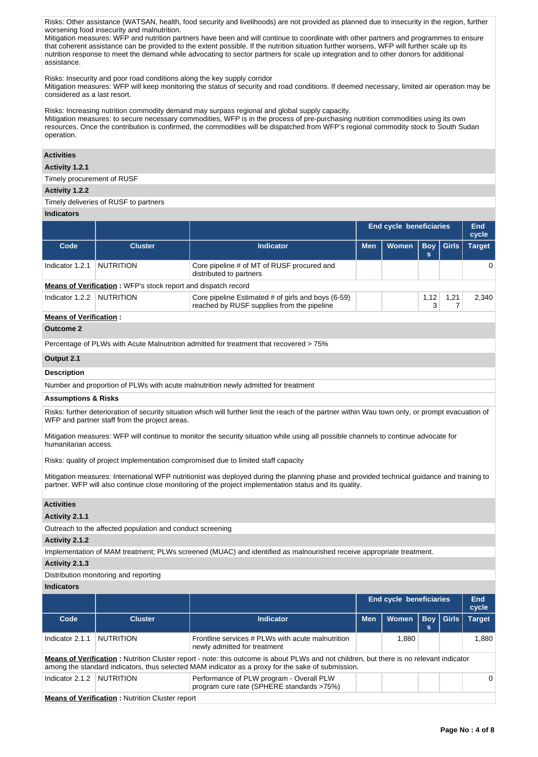Risks: Other assistance (WATSAN, health, food security and livelihoods) are not provided as planned due to insecurity in the region, further worsening food insecurity and malnutrition.

Mitigation measures: WFP and nutrition partners have been and will continue to coordinate with other partners and programmes to ensure that coherent assistance can be provided to the extent possible. If the nutrition situation further worsens, WFP will further scale up its nutrition response to meet the demand while advocating to sector partners for scale up integration and to other donors for additional assistance.

Risks: Insecurity and poor road conditions along the key supply corridor

Mitigation measures: WFP will keep monitoring the status of security and road conditions. If deemed necessary, limited air operation may be considered as a last resort.

Risks: Increasing nutrition commodity demand may surpass regional and global supply capacity.

Mitigation measures: to secure necessary commodities, WFP is in the process of pre-purchasing nutrition commodities using its own resources. Once the contribution is confirmed, the commodities will be dispatched from WFP's regional commodity stock to South Sudan operation.

# **Activities**

## **Activity 1.2.1**

Timely procurement of RUSF

## **Activity 1.2.2**

# Timely deliveries of RUSF to partners

**Indicators**

|                                                                                                                                                                                                     |                  |                                                                                                                                                                                                                                                      | <b>End cycle beneficiaries</b> |              |                 | End<br>cycle |               |  |  |  |
|-----------------------------------------------------------------------------------------------------------------------------------------------------------------------------------------------------|------------------|------------------------------------------------------------------------------------------------------------------------------------------------------------------------------------------------------------------------------------------------------|--------------------------------|--------------|-----------------|--------------|---------------|--|--|--|
| Code                                                                                                                                                                                                | <b>Cluster</b>   | <b>Indicator</b>                                                                                                                                                                                                                                     | <b>Men</b>                     | <b>Women</b> | <b>Boy</b><br>s | $ $ Girls    | <b>Target</b> |  |  |  |
| Indicator 1.2.1                                                                                                                                                                                     | <b>NUTRITION</b> | Core pipeline # of MT of RUSF procured and<br>distributed to partners                                                                                                                                                                                |                                |              |                 |              | $\Omega$      |  |  |  |
| <b>Means of Verification:</b> WFP's stock report and dispatch record                                                                                                                                |                  |                                                                                                                                                                                                                                                      |                                |              |                 |              |               |  |  |  |
| Indicator 1.2.2                                                                                                                                                                                     | <b>NUTRITION</b> | Core pipeline Estimated # of girls and boys (6-59)<br>1,12<br>1,21<br>reached by RUSF supplies from the pipeline<br>7<br>3                                                                                                                           |                                |              |                 |              |               |  |  |  |
| <b>Means of Verification:</b>                                                                                                                                                                       |                  |                                                                                                                                                                                                                                                      |                                |              |                 |              |               |  |  |  |
| <b>Outcome 2</b>                                                                                                                                                                                    |                  |                                                                                                                                                                                                                                                      |                                |              |                 |              |               |  |  |  |
| Percentage of PLWs with Acute Malnutrition admitted for treatment that recovered > 75%                                                                                                              |                  |                                                                                                                                                                                                                                                      |                                |              |                 |              |               |  |  |  |
| Output 2.1                                                                                                                                                                                          |                  |                                                                                                                                                                                                                                                      |                                |              |                 |              |               |  |  |  |
| <b>Description</b>                                                                                                                                                                                  |                  |                                                                                                                                                                                                                                                      |                                |              |                 |              |               |  |  |  |
|                                                                                                                                                                                                     |                  | Number and proportion of PLWs with acute malnutrition newly admitted for treatment                                                                                                                                                                   |                                |              |                 |              |               |  |  |  |
| <b>Assumptions &amp; Risks</b>                                                                                                                                                                      |                  |                                                                                                                                                                                                                                                      |                                |              |                 |              |               |  |  |  |
| Risks: further deterioration of security situation which will further limit the reach of the partner within Wau town only, or prompt evacuation of<br>WFP and partner staff from the project areas. |                  |                                                                                                                                                                                                                                                      |                                |              |                 |              |               |  |  |  |
| Mitigation measures: WFP will continue to monitor the security situation while using all possible channels to continue advocate for<br>humanitarian access.                                         |                  |                                                                                                                                                                                                                                                      |                                |              |                 |              |               |  |  |  |
| Risks: quality of project implementation compromised due to limited staff capacity                                                                                                                  |                  |                                                                                                                                                                                                                                                      |                                |              |                 |              |               |  |  |  |
|                                                                                                                                                                                                     |                  | Mitigation measures: International WFP nutritionist was deployed during the planning phase and provided technical guidance and training to<br>partner. WFP will also continue close monitoring of the project implementation status and its quality. |                                |              |                 |              |               |  |  |  |

# **Activities**

## **Activity 2.1.1**

Outreach to the affected population and conduct screening

#### **Activity 2.1.2**

Implementation of MAM treatment; PLWs screened (MUAC) and identified as malnourished receive appropriate treatment.

# **Activity 2.1.3**

# Distribution monitoring and reporting

**Indicators**

|                 |                                                        |                                                                                                                                                                                                                                              |            | <b>End cycle beneficiaries</b> |   |             | End<br>cycle  |  |  |  |
|-----------------|--------------------------------------------------------|----------------------------------------------------------------------------------------------------------------------------------------------------------------------------------------------------------------------------------------------|------------|--------------------------------|---|-------------|---------------|--|--|--|
| Code            | <b>Cluster</b>                                         | <b>Indicator</b>                                                                                                                                                                                                                             | <b>Men</b> | <b>Women</b>                   | s | Bov   Girls | <b>Target</b> |  |  |  |
| Indicator 2.1.1 | <b>NUTRITION</b>                                       | Frontline services # PLWs with acute malnutrition<br>newly admitted for treatment                                                                                                                                                            |            | 1.880                          |   |             | 1.880         |  |  |  |
|                 |                                                        | Means of Verification: Nutrition Cluster report - note: this outcome is about PLWs and not children, but there is no relevant indicator<br>among the standard indicators, thus selected MAM indicator as a proxy for the sake of submission. |            |                                |   |             |               |  |  |  |
| Indicator 2.1.2 | <b>NUTRITION</b>                                       | Performance of PLW program - Overall PLW<br>program cure rate (SPHERE standards >75%)                                                                                                                                                        |            |                                |   |             | 0             |  |  |  |
|                 | <b>Means of Verification: Nutrition Cluster report</b> |                                                                                                                                                                                                                                              |            |                                |   |             |               |  |  |  |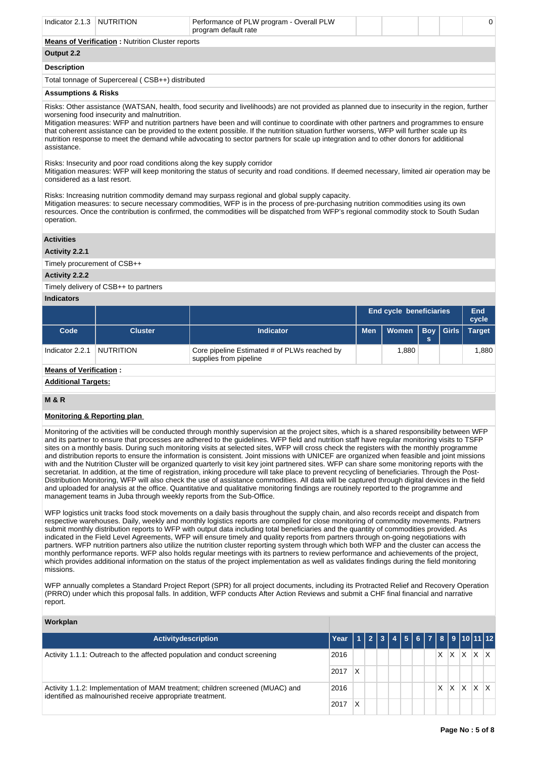| Indicator 2.1.3 NUTRITION                               |  | Performance of PLW program - Overall PLW<br>program default rate |  |  |  |  |  | $\Omega$ |  |
|---------------------------------------------------------|--|------------------------------------------------------------------|--|--|--|--|--|----------|--|
| <b>Means of Verification:</b> Nutrition Cluster reports |  |                                                                  |  |  |  |  |  |          |  |
| Output 2.2                                              |  |                                                                  |  |  |  |  |  |          |  |
| <b>Description</b>                                      |  |                                                                  |  |  |  |  |  |          |  |
| Total tonnage of Supercereal (CSB++) distributed        |  |                                                                  |  |  |  |  |  |          |  |
| <b>Assumptions &amp; Risks</b>                          |  |                                                                  |  |  |  |  |  |          |  |

Risks: Other assistance (WATSAN, health, food security and livelihoods) are not provided as planned due to insecurity in the region, further worsening food insecurity and malnutrition.

Mitigation measures: WFP and nutrition partners have been and will continue to coordinate with other partners and programmes to ensure that coherent assistance can be provided to the extent possible. If the nutrition situation further worsens, WFP will further scale up its nutrition response to meet the demand while advocating to sector partners for scale up integration and to other donors for additional assistance.

Risks: Insecurity and poor road conditions along the key supply corridor

Mitigation measures: WFP will keep monitoring the status of security and road conditions. If deemed necessary, limited air operation may be considered as a last resort.

Risks: Increasing nutrition commodity demand may surpass regional and global supply capacity.

Mitigation measures: to secure necessary commodities, WFP is in the process of pre-purchasing nutrition commodities using its own resources. Once the contribution is confirmed, the commodities will be dispatched from WFP's regional commodity stock to South Sudan operation.

## **Activities**

**Activity 2.2.1** 

Timely procurement of CSB++

## **Activity 2.2.2**

Timely delivery of CSB++ to partners

#### **Indicators**

|                 |                |                                                                        |  | <b>End cycle beneficiaries</b> |     |  |               |  |  |  |
|-----------------|----------------|------------------------------------------------------------------------|--|--------------------------------|-----|--|---------------|--|--|--|
| Code            | <b>Cluster</b> | <b>Indicator</b>                                                       |  | Men   Women   Boy   Girls      | ls. |  | <b>Target</b> |  |  |  |
| Indicator 2.2.1 | NUTRITION      | Core pipeline Estimated # of PLWs reached by<br>supplies from pipeline |  | 1.880                          |     |  | 1.880         |  |  |  |

## **Means of Verification :**

**Additional Targets:**

# **M & R**

# **Monitoring & Reporting plan**

Monitoring of the activities will be conducted through monthly supervision at the project sites, which is a shared responsibility between WFP and its partner to ensure that processes are adhered to the guidelines. WFP field and nutrition staff have regular monitoring visits to TSFP sites on a monthly basis. During such monitoring visits at selected sites, WFP will cross check the registers with the monthly programme and distribution reports to ensure the information is consistent. Joint missions with UNICEF are organized when feasible and joint missions with and the Nutrition Cluster will be organized quarterly to visit key joint partnered sites. WFP can share some monitoring reports with the secretariat. In addition, at the time of registration, inking procedure will take place to prevent recycling of beneficiaries. Through the Post-Distribution Monitoring, WFP will also check the use of assistance commodities. All data will be captured through digital devices in the field and uploaded for analysis at the office. Quantitative and qualitative monitoring findings are routinely reported to the programme and management teams in Juba through weekly reports from the Sub-Office.

WFP logistics unit tracks food stock movements on a daily basis throughout the supply chain, and also records receipt and dispatch from respective warehouses. Daily, weekly and monthly logistics reports are compiled for close monitoring of commodity movements. Partners submit monthly distribution reports to WFP with output data including total beneficiaries and the quantity of commodities provided. As indicated in the Field Level Agreements, WFP will ensure timely and quality reports from partners through on-going negotiations with partners. WFP nutrition partners also utilize the nutrition cluster reporting system through which both WFP and the cluster can access the monthly performance reports. WFP also holds regular meetings with its partners to review performance and achievements of the project, which provides additional information on the status of the project implementation as well as validates findings during the field monitoring missions.

WFP annually completes a Standard Project Report (SPR) for all project documents, including its Protracted Relief and Recovery Operation (PRRO) under which this proposal falls. In addition, WFP conducts After Action Reviews and submit a CHF final financial and narrative report.

| Workplan                                                                                                                                   |      |                    |  |  |  |         |                     |  |
|--------------------------------------------------------------------------------------------------------------------------------------------|------|--------------------|--|--|--|---------|---------------------|--|
| Activitydescription                                                                                                                        | Year | 112344567891011112 |  |  |  |         |                     |  |
| Activity 1.1.1: Outreach to the affected population and conduct screening<br>2016<br>2017                                                  |      |                    |  |  |  |         | $X$ $X$ $X$ $X$ $X$ |  |
|                                                                                                                                            |      | X                  |  |  |  |         |                     |  |
| Activity 1.1.2: Implementation of MAM treatment; children screened (MUAC) and<br>identified as malnourished receive appropriate treatment. |      |                    |  |  |  | $X$ $X$ | X X X               |  |
|                                                                                                                                            |      | X                  |  |  |  |         |                     |  |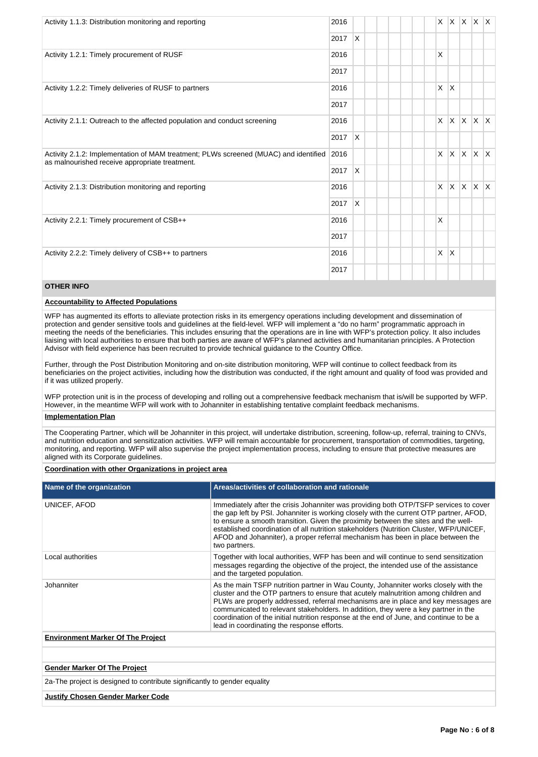| Activity 1.1.3: Distribution monitoring and reporting                                                                                  | 2016 |              |  |  | X            | IX.          | $\mathsf{X}$ | X X     |              |
|----------------------------------------------------------------------------------------------------------------------------------------|------|--------------|--|--|--------------|--------------|--------------|---------|--------------|
|                                                                                                                                        | 2017 | X            |  |  |              |              |              |         |              |
| Activity 1.2.1: Timely procurement of RUSF                                                                                             | 2016 |              |  |  | $\times$     |              |              |         |              |
|                                                                                                                                        | 2017 |              |  |  |              |              |              |         |              |
| Activity 1.2.2: Timely deliveries of RUSF to partners                                                                                  | 2016 |              |  |  | X            | $\mathsf{X}$ |              |         |              |
|                                                                                                                                        | 2017 |              |  |  |              |              |              |         |              |
| Activity 2.1.1: Outreach to the affected population and conduct screening                                                              |      |              |  |  | $\mathsf{x}$ | $\mathsf{X}$ | $\mathsf{X}$ | ΙX.     | $\mathsf{X}$ |
|                                                                                                                                        |      | X            |  |  |              |              |              |         |              |
| Activity 2.1.2: Implementation of MAM treatment; PLWs screened (MUAC) and identified<br>as malnourished receive appropriate treatment. | 2016 |              |  |  | $\times$     | $\mathsf{X}$ | $\mathsf{X}$ | $X$ $X$ |              |
|                                                                                                                                        | 2017 | X            |  |  |              |              |              |         |              |
| Activity 2.1.3: Distribution monitoring and reporting                                                                                  | 2016 |              |  |  | X            | ΙX.          | $\mathsf{X}$ | ΙX.     | ΙX.          |
|                                                                                                                                        | 2017 | $\mathsf{x}$ |  |  |              |              |              |         |              |
| Activity 2.2.1: Timely procurement of CSB++                                                                                            | 2016 |              |  |  | $\times$     |              |              |         |              |
|                                                                                                                                        | 2017 |              |  |  |              |              |              |         |              |
| Activity 2.2.2: Timely delivery of CSB++ to partners                                                                                   | 2016 |              |  |  | $\times$     | $\mathsf{X}$ |              |         |              |
|                                                                                                                                        | 2017 |              |  |  |              |              |              |         |              |

# **OTHER INFO**

## **Accountability to Affected Populations**

WFP has augmented its efforts to alleviate protection risks in its emergency operations including development and dissemination of protection and gender sensitive tools and guidelines at the field-level. WFP will implement a "do no harm" programmatic approach in meeting the needs of the beneficiaries. This includes ensuring that the operations are in line with WFP's protection policy. It also includes liaising with local authorities to ensure that both parties are aware of WFP's planned activities and humanitarian principles. A Protection Advisor with field experience has been recruited to provide technical guidance to the Country Office.

Further, through the Post Distribution Monitoring and on-site distribution monitoring, WFP will continue to collect feedback from its beneficiaries on the project activities, including how the distribution was conducted, if the right amount and quality of food was provided and if it was utilized properly.

WFP protection unit is in the process of developing and rolling out a comprehensive feedback mechanism that is/will be supported by WFP. However, in the meantime WFP will work with to Johanniter in establishing tentative complaint feedback mechanisms.

## **Implementation Plan**

The Cooperating Partner, which will be Johanniter in this project, will undertake distribution, screening, follow-up, referral, training to CNVs, and nutrition education and sensitization activities. WFP will remain accountable for procurement, transportation of commodities, targeting, monitoring, and reporting. WFP will also supervise the project implementation process, including to ensure that protective measures are aligned with its Corporate guidelines.

## **Coordination with other Organizations in project area**

| Name of the organization                 | Areas/activities of collaboration and rationale                                                                                                                                                                                                                                                                                                                                                                                                                                                 |
|------------------------------------------|-------------------------------------------------------------------------------------------------------------------------------------------------------------------------------------------------------------------------------------------------------------------------------------------------------------------------------------------------------------------------------------------------------------------------------------------------------------------------------------------------|
| UNICEF, AFOD                             | Immediately after the crisis Johanniter was providing both OTP/TSFP services to cover<br>the gap left by PSI. Johanniter is working closely with the current OTP partner, AFOD,<br>to ensure a smooth transition. Given the proximity between the sites and the well-<br>established coordination of all nutrition stakeholders (Nutrition Cluster, WFP/UNICEF,<br>AFOD and Johanniter), a proper referral mechanism has been in place between the<br>two partners.                             |
| Local authorities                        | Together with local authorities, WFP has been and will continue to send sensitization<br>messages regarding the objective of the project, the intended use of the assistance<br>and the targeted population.                                                                                                                                                                                                                                                                                    |
| Johanniter                               | As the main TSFP nutrition partner in Wau County, Johanniter works closely with the<br>cluster and the OTP partners to ensure that acutely malnutrition among children and<br>PLWs are properly addressed, referral mechanisms are in place and key messages are<br>communicated to relevant stakeholders. In addition, they were a key partner in the<br>coordination of the initial nutrition response at the end of June, and continue to be a<br>lead in coordinating the response efforts. |
| <b>Environment Marker Of The Project</b> |                                                                                                                                                                                                                                                                                                                                                                                                                                                                                                 |

# **Gender Marker Of The Project**

2a-The project is designed to contribute significantly to gender equality

## **Justify Chosen Gender Marker Code**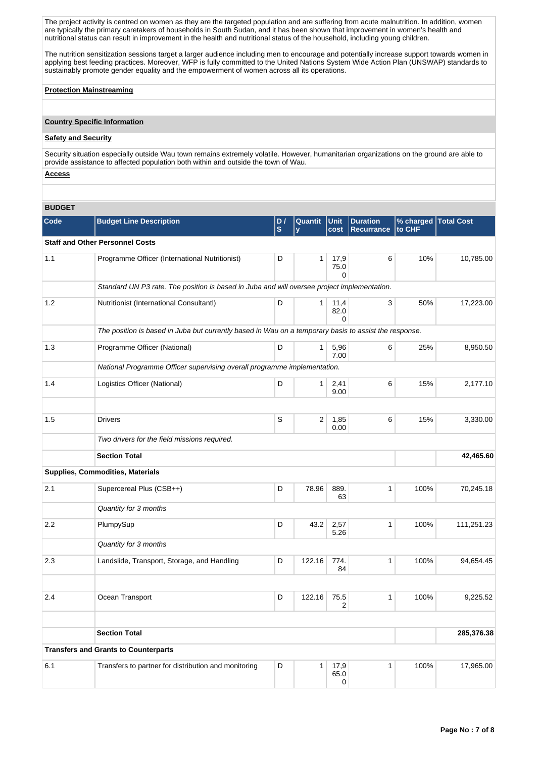The project activity is centred on women as they are the targeted population and are suffering from acute malnutrition. In addition, women are typically the primary caretakers of households in South Sudan, and it has been shown that improvement in women's health and nutritional status can result in improvement in the health and nutritional status of the household, including young children.

The nutrition sensitization sessions target a larger audience including men to encourage and potentially increase support towards women in applying best feeding practices. Moreover, WFP is fully committed to the United Nations System Wide Action Plan (UNSWAP) standards to sustainably promote gender equality and the empowerment of women across all its operations.

## **Protection Mainstreaming**

# **Country Specific Information**

# **Safety and Security**

Security situation especially outside Wau town remains extremely volatile. However, humanitarian organizations on the ground are able to provide assistance to affected population both within and outside the town of Wau.

# **Access**

# **BUDGET**

| <b>Budget Line Description</b>                 | D,<br>S                                                                                                                     | Quantit<br>$\mathbf v$ | cost                     | <b>Duration</b><br><b>Recurrance</b>                                             | % charged<br>to CHF                                                                                                 | <b>Total Cost</b>                                                                                             |
|------------------------------------------------|-----------------------------------------------------------------------------------------------------------------------------|------------------------|--------------------------|----------------------------------------------------------------------------------|---------------------------------------------------------------------------------------------------------------------|---------------------------------------------------------------------------------------------------------------|
| <b>Staff and Other Personnel Costs</b>         |                                                                                                                             |                        |                          |                                                                                  |                                                                                                                     |                                                                                                               |
| Programme Officer (International Nutritionist) | D                                                                                                                           | 1                      | 17,9<br>75.0<br>0        | 6                                                                                | 10%                                                                                                                 | 10,785.00                                                                                                     |
|                                                |                                                                                                                             |                        |                          |                                                                                  |                                                                                                                     |                                                                                                               |
| Nutritionist (International Consultantl)       | D                                                                                                                           | $\mathbf{1}$           | 11,4<br>82.0<br>$\Omega$ | 3                                                                                | 50%                                                                                                                 | 17,223.00                                                                                                     |
|                                                |                                                                                                                             |                        |                          |                                                                                  |                                                                                                                     |                                                                                                               |
| Programme Officer (National)                   | D                                                                                                                           | 1                      | 5,96<br>7.00             | 6                                                                                | 25%                                                                                                                 | 8,950.50                                                                                                      |
|                                                |                                                                                                                             |                        |                          |                                                                                  |                                                                                                                     |                                                                                                               |
| Logistics Officer (National)                   | D                                                                                                                           | 1 <sup>1</sup>         | 2,41<br>9.00             | 6                                                                                | 15%                                                                                                                 | 2,177.10                                                                                                      |
|                                                |                                                                                                                             |                        |                          |                                                                                  |                                                                                                                     |                                                                                                               |
| <b>Drivers</b>                                 | S                                                                                                                           | 2                      | 1,85<br>0.00             | 6                                                                                | 15%                                                                                                                 | 3,330.00                                                                                                      |
| Two drivers for the field missions required.   |                                                                                                                             |                        |                          |                                                                                  |                                                                                                                     |                                                                                                               |
| <b>Section Total</b>                           |                                                                                                                             |                        |                          |                                                                                  |                                                                                                                     | 42,465.60                                                                                                     |
| Supplies, Commodities, Materials               |                                                                                                                             |                        |                          |                                                                                  |                                                                                                                     |                                                                                                               |
| Supercereal Plus (CSB++)                       | D                                                                                                                           | 78.96                  | 889.<br>63               | 1                                                                                | 100%                                                                                                                | 70,245.18                                                                                                     |
| Quantity for 3 months                          |                                                                                                                             |                        |                          |                                                                                  |                                                                                                                     |                                                                                                               |
| PlumpySup                                      | D                                                                                                                           | 43.2                   | 2,57<br>5.26             | 1                                                                                | 100%                                                                                                                | 111,251.23                                                                                                    |
| Quantity for 3 months                          |                                                                                                                             |                        |                          |                                                                                  |                                                                                                                     |                                                                                                               |
| Landslide, Transport, Storage, and Handling    | D                                                                                                                           | 122.16                 | 774.<br>84               | 1                                                                                | 100%                                                                                                                | 94,654.45                                                                                                     |
|                                                |                                                                                                                             |                        |                          |                                                                                  |                                                                                                                     |                                                                                                               |
| Ocean Transport                                | D                                                                                                                           | 122.16                 | 75.5<br>2                | 1                                                                                | 100%                                                                                                                | 9,225.52                                                                                                      |
|                                                |                                                                                                                             |                        |                          |                                                                                  |                                                                                                                     | 285,376.38                                                                                                    |
|                                                |                                                                                                                             |                        |                          |                                                                                  |                                                                                                                     |                                                                                                               |
|                                                |                                                                                                                             |                        |                          |                                                                                  |                                                                                                                     |                                                                                                               |
|                                                |                                                                                                                             |                        | 65.0<br>0                |                                                                                  |                                                                                                                     | 17,965.00                                                                                                     |
|                                                | <b>Section Total</b><br><b>Transfers and Grants to Counterparts</b><br>Transfers to partner for distribution and monitoring | D                      | $\mathbf{1}$             | Unit<br>National Programme Officer supervising overall programme implementation. | Standard UN P3 rate. The position is based in Juba and will oversee project implementation.<br>17,9<br>$\mathbf{1}$ | The position is based in Juba but currently based in Wau on a temporary basis to assist the response.<br>100% |